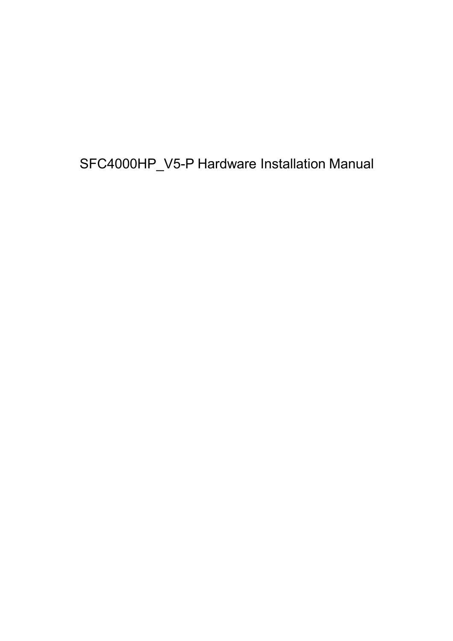SFC4000HP\_V5-P Hardware Installation Manual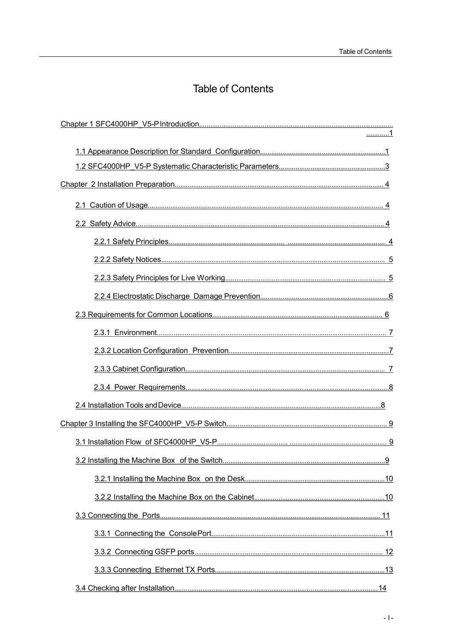# **Table of Contents**

| . 1       |  |
|-----------|--|
|           |  |
|           |  |
|           |  |
|           |  |
|           |  |
|           |  |
|           |  |
|           |  |
|           |  |
|           |  |
|           |  |
|           |  |
|           |  |
|           |  |
|           |  |
|           |  |
|           |  |
| <u>.9</u> |  |
|           |  |
|           |  |
|           |  |
|           |  |
|           |  |
|           |  |
|           |  |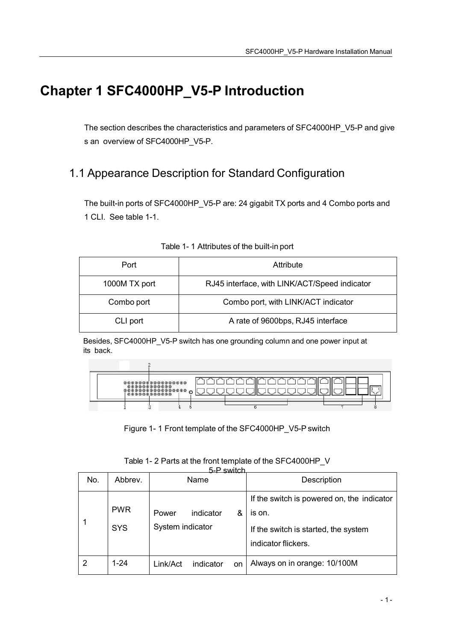# <span id="page-3-0"></span>**Chapter 1 SFC4000HP\_V5-P Introduction**

The section describes the characteristics and parameters of SFC4000HP\_V5-P and give s an overview of SFC4000HP\_V5-P.

# 1.1 Appearance Description for Standard Configuration

The built-in ports of SFC4000HP\_V5-P are: 24 gigabit TX ports and 4 Combo ports and 1 CLI. See table 1-1.

| Port          | Attribute                                     |
|---------------|-----------------------------------------------|
| 1000M TX port | RJ45 interface, with LINK/ACT/Speed indicator |
| Combo port    | Combo port, with LINK/ACT indicator           |
| CLI port      | A rate of 9600bps, RJ45 interface             |

|  | Table 1- 1 Attributes of the built-in port |  |
|--|--------------------------------------------|--|
|--|--------------------------------------------|--|

Besides, SFC4000HP\_V5-P switch has one grounding column and one power input at its back.



Figure 1- 1 Front template of the SFC4000HP\_V5-P switch

| 5-D ewitch |                          |                                             |                                                                                                                     |  |
|------------|--------------------------|---------------------------------------------|---------------------------------------------------------------------------------------------------------------------|--|
| No.        | Abbrev.                  | Name                                        | Description                                                                                                         |  |
|            | <b>PWR</b><br><b>SYS</b> | indicator<br>&<br>Power<br>System indicator | If the switch is powered on, the indicator<br>is on.<br>If the switch is started, the system<br>indicator flickers. |  |
| 2          | $1 - 24$                 | indicator<br>Link/Act<br><b>on</b>          | Always on in orange: 10/100M                                                                                        |  |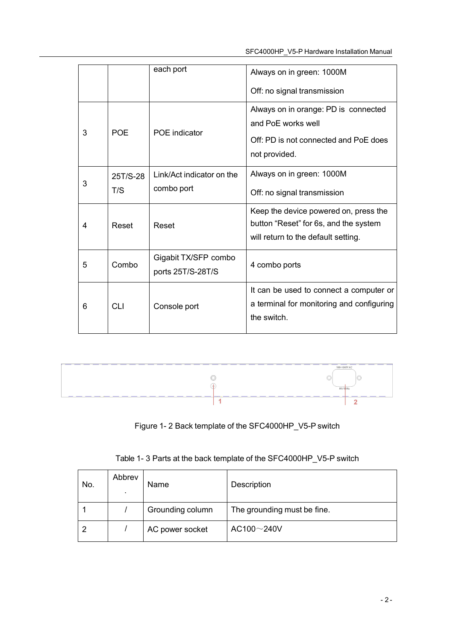|   |            | each port                                 | Always on in green: 1000M                                                                                             |  |
|---|------------|-------------------------------------------|-----------------------------------------------------------------------------------------------------------------------|--|
|   |            |                                           | Off: no signal transmission                                                                                           |  |
| 3 | <b>POE</b> | <b>POE</b> indicator                      | Always on in orange: PD is connected<br>and PoF works well                                                            |  |
|   |            |                                           | Off: PD is not connected and PoE does<br>not provided.                                                                |  |
|   | 25T/S-28   | Link/Act indicator on the                 | Always on in green: 1000M                                                                                             |  |
| 3 | T/S        | combo port                                | Off: no signal transmission                                                                                           |  |
| 4 | Reset      | Reset                                     | Keep the device powered on, press the<br>button "Reset" for 6s, and the system<br>will return to the default setting. |  |
| 5 | Combo      | Gigabit TX/SFP combo<br>ports 25T/S-28T/S | 4 combo ports                                                                                                         |  |
| 6 | <b>CLI</b> | Console port                              | It can be used to connect a computer or<br>a terminal for monitoring and configuring<br>the switch.                   |  |



Figure 1- 2 Back template of the SFC4000HP\_V5-P switch

Table 1- 3 Parts at the back template of the SFC4000HP\_V5-P switch

| No. | Abbrev | Name             | Description                 |
|-----|--------|------------------|-----------------------------|
|     |        | Grounding column | The grounding must be fine. |
| o   |        | AC power socket  | AC100 $\sim$ 240V           |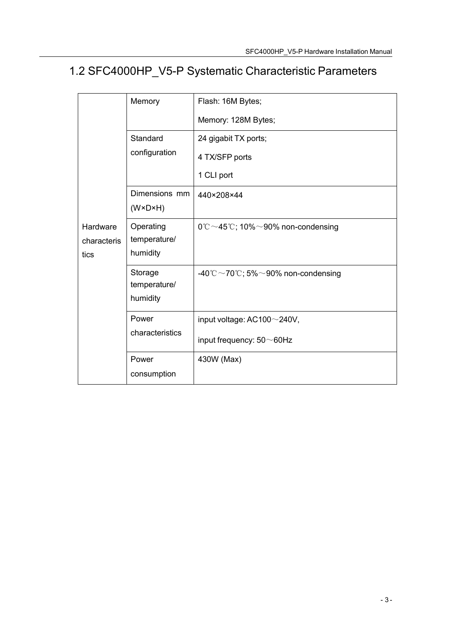# <span id="page-5-0"></span>1.2 SFC4000HP\_V5-P Systematic Characteristic Parameters

|                     | Memory                                   | Flash: 16M Bytes;                                       |
|---------------------|------------------------------------------|---------------------------------------------------------|
|                     |                                          | Memory: 128M Bytes;                                     |
|                     | Standard                                 | 24 gigabit TX ports;                                    |
|                     | configuration                            | 4 TX/SFP ports                                          |
|                     |                                          | 1 CLI port                                              |
|                     | Dimensions mm<br>$(W \times D \times H)$ | 440×208×44                                              |
| Hardware            | Operating                                | $0^{\circ}$ C ~45 $^{\circ}$ C; 10% ~90% non-condensing |
| characteris<br>tics | temperature/<br>humidity                 |                                                         |
|                     |                                          |                                                         |
|                     | Storage<br>temperature/                  | -40°C ~ 70°C; 5% ~ 90% non-condensing                   |
|                     | humidity                                 |                                                         |
|                     | Power                                    | input voltage: $AC100 \sim 240V$ ,                      |
|                     | characteristics                          | input frequency: $50\neg 60$ Hz                         |
|                     | Power                                    | 430W (Max)                                              |
|                     | consumption                              |                                                         |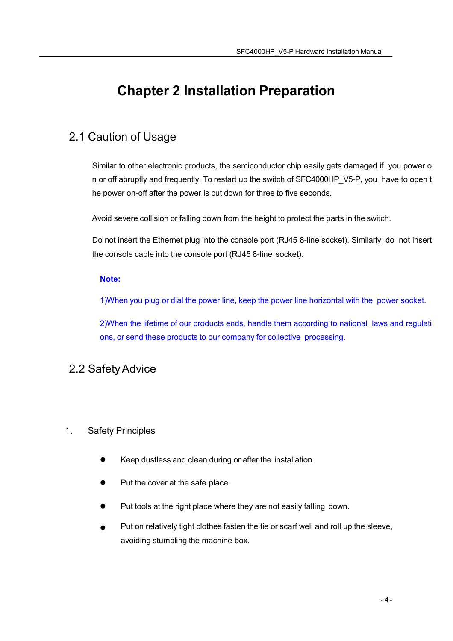# <span id="page-6-0"></span>**Chapter 2 Installation Preparation**

## 2.1 Caution of Usage

Similar to other electronic products, the semiconductor chip easily gets damaged if you power o n or off abruptly and frequently. To restart up the switch of SFC4000HP V5-P, you have to open t he power on-off after the power is cut down for three to five seconds.

Avoid severe collision or falling down from the height to protect the parts in the switch.

Do not insert the Ethernet plug into the console port (RJ45 8-line socket). Similarly, do not insert the console cable into the console port (RJ45 8-line socket).

#### **Note:**

1)When you plug or dial the power line, keep the power line horizontal with the power socket.

2)When the lifetime of our products ends, handle them according to national laws and regulati ons, or send these products to our company for collective processing.

## 2.2 Safety Advice

## 1. Safety Principles

- Keep dustless and clean during or after the installation.
- Put the cover at the safe place.
- Put tools at the right place where they are not easily falling down.
- Put on relatively tight clothes fasten the tie or scarf well and roll up the sleeve, avoiding stumbling the machine box.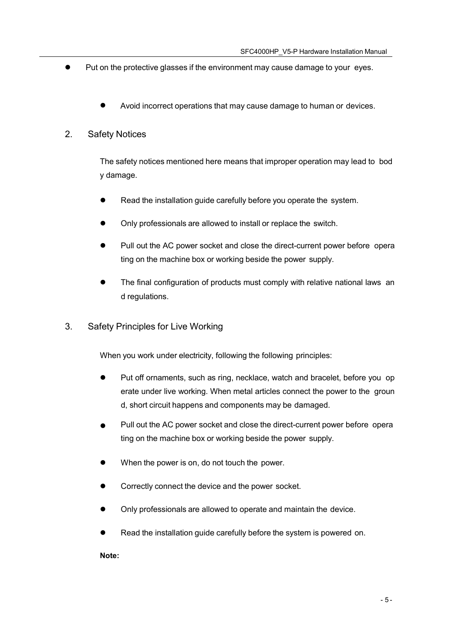- <span id="page-7-0"></span> Put on the protective glasses if the environment may cause damage to your eyes.
	- Avoid incorrect operations that may cause damage to human or devices.

#### 2. Safety Notices

The safety notices mentioned here means that improper operation may lead to bod y damage.

- Read the installation guide carefully before you operate the system.
- Only professionals are allowed to install or replace the switch.
- Pull out the AC power socket and close the direct-current power before opera ting on the machine box or working beside the power supply.
- The final configuration of products must comply with relative national laws an d regulations.
- 3. Safety Principles for Live Working

When you work under electricity, following the following principles:

- Put off ornaments, such as ring, necklace, watch and bracelet, before you op erate under live working. When metal articles connect the power to the groun d, short circuit happens and components may be damaged.
- Pull out the AC power socket and close the direct-current power before opera ting on the machine box or working beside the power supply.
- When the power is on, do not touch the power.
- Correctly connect the device and the power socket.
- Only professionals are allowed to operate and maintain the device.
- Read the installation guide carefully before the system is powered on.

**Note:**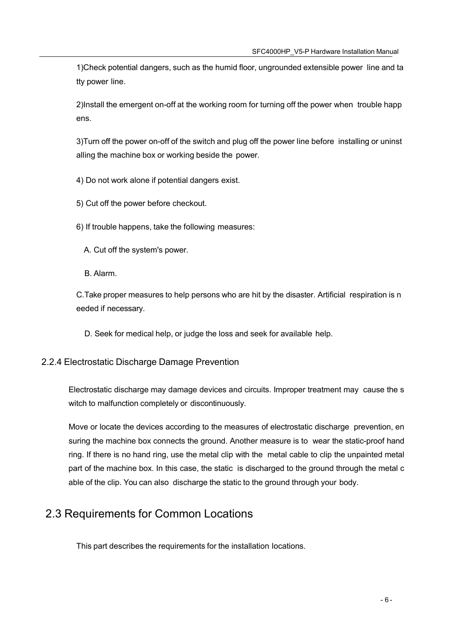<span id="page-8-0"></span>1)Check potential dangers, such as the humid floor, ungrounded extensible power line and ta tty power line.

2)Install the emergent on-off at the working room for turning off the power when trouble happ ens.

3)Turn off the power on-off of the switch and plug off the power line before installing or uninst alling the machine box or working beside the power.

4) Do not work alone if potential dangers exist.

5) Cut off the power before checkout.

6) If trouble happens, take the following measures:

A. Cut off the system's power.

B. Alarm.

C.Take proper measures to help persons who are hit by the disaster. Artificial respiration is n eeded if necessary.

D. Seek for medical help, or judge the loss and seek for available help.

## 2.2.4 Electrostatic Discharge Damage Prevention

Electrostatic discharge may damage devices and circuits. Improper treatment may cause the s witch to malfunction completely or discontinuously.

Move or locate the devices according to the measures of electrostatic discharge prevention, en suring the machine box connects the ground. Another measure is to wear the static-proof hand ring. If there is no hand ring, use the metal clip with the metal cable to clip the unpainted metal part of the machine box. In this case, the static is discharged to the ground through the metal c able of the clip. You can also discharge the static to the ground through your body.

# 2.3 Requirements for Common Locations

This part describes the requirements for the installation locations.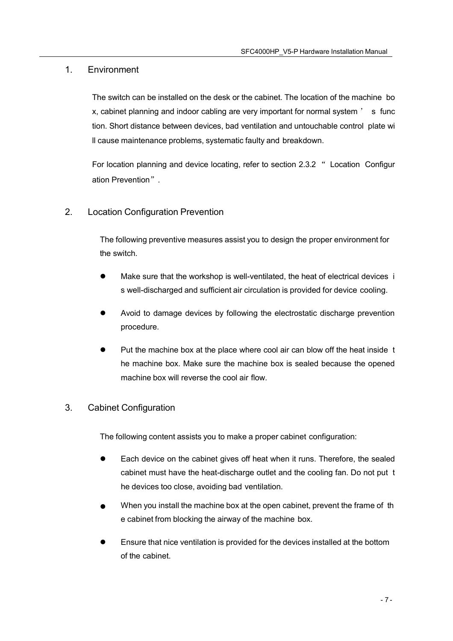### <span id="page-9-0"></span>1. Environment

The switch can be installed on the desk or the cabinet. The location of the machine bo x, cabinet planning and indoor cabling are very important for normal system ' s func tion. Short distance between devices, bad ventilation and untouchable control plate wi ll cause maintenance problems, systematic faulty and breakdown.

For location planning and device locating, refer to section 2.3.2 " Location Configur ation Prevention".

## 2. Location Configuration Prevention

The following preventive measures assist you to design the proper environment for the switch.

- Make sure that the workshop is well-ventilated, the heat of electrical devices i s well-discharged and sufficient air circulation is provided for device cooling.
- Avoid to damage devices by following the electrostatic discharge prevention procedure.
- Put the machine box at the place where cool air can blow off the heat inside t he machine box. Make sure the machine box is sealed because the opened machine box will reverse the cool air flow.

## 3. Cabinet Configuration

The following content assists you to make a proper cabinet configuration:

- Each device on the cabinet gives off heat when it runs. Therefore, the sealed cabinet must have the heat-discharge outlet and the cooling fan. Do not put t he devices too close, avoiding bad ventilation.
- When you install the machine box at the open cabinet, prevent the frame of th e cabinet from blocking the airway of the machine box.
- Ensure that nice ventilation is provided for the devices installed at the bottom of the cabinet.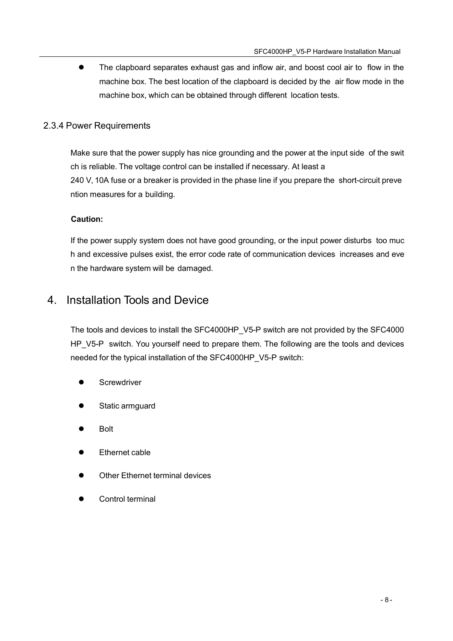<span id="page-10-0"></span>• The clapboard separates exhaust gas and inflow air, and boost cool air to flow in the machine box. The best location of the clapboard is decided by the air flow mode in the machine box, which can be obtained through different location tests.

## 2.3.4 Power Requirements

Make sure that the power supply has nice grounding and the power at the input side of the swit ch is reliable. The voltage control can be installed if necessary. At least a 240 V, 10A fuse or a breaker is provided in the phase line if you prepare the short-circuit preve ntion measures for a building.

#### **Caution:**

If the power supply system does not have good grounding, or the input power disturbs too muc h and excessive pulses exist, the error code rate of communication devices increases and eve n the hardware system will be damaged.

## 4. Installation Tools and Device

The tools and devices to install the SFC4000HP\_V5-P switch are not provided by the SFC4000 HP\_V5-P switch. You yourself need to prepare them. The following are the tools and devices needed for the typical installation of the SFC4000HP\_V5-P switch:

- **Screwdriver**
- Static armguard
- Bolt
- Ethernet cable
- Other Ethernet terminal devices
- Control terminal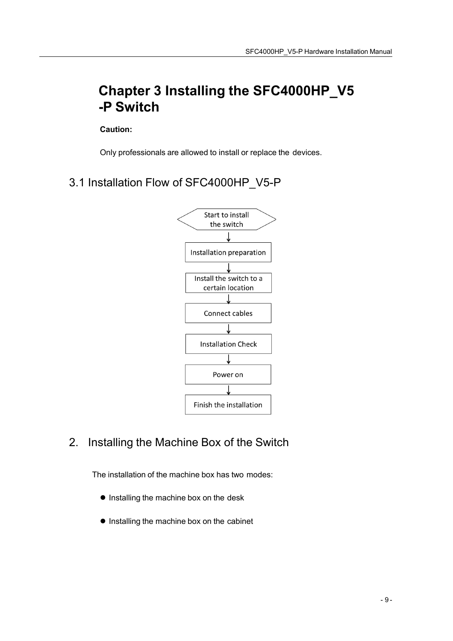# <span id="page-11-0"></span>**Chapter 3 Installing the SFC4000HP\_V5 -P Switch**

**Caution:**

Only professionals are allowed to install or replace the devices.

3.1 Installation Flow of SFC4000HP\_V5-P



2. Installing the Machine Box of the Switch

The installation of the machine box has two modes:

- **•** Installing the machine box on the desk
- Installing the machine box on the cabinet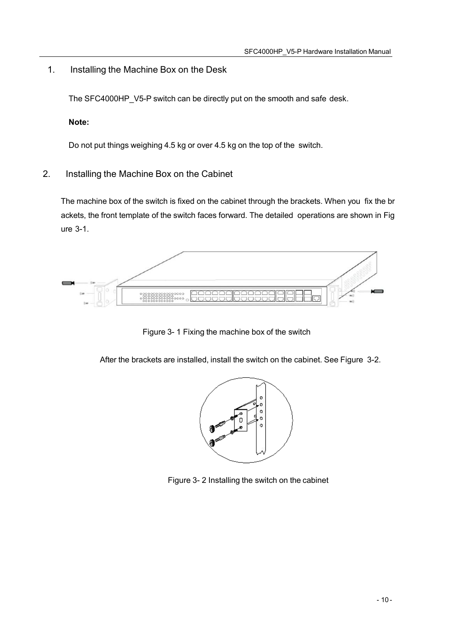<span id="page-12-0"></span>1. Installing the Machine Box on the Desk

The SFC4000HP V5-P switch can be directly put on the smooth and safe desk.

**Note:**

Do not put things weighing 4.5 kg or over 4.5 kg on the top of the switch.

2. Installing the Machine Box on the Cabinet

The machine box of the switch is fixed on the cabinet through the brackets. When you fix the br ackets, the front template of the switch faces forward. The detailed operations are shown in Fig ure 3-1.



Figure 3- 1 Fixing the machine box of the switch

After the brackets are installed, install the switch on the cabinet. See Figure 3-2.



Figure 3- 2 Installing the switch on the cabinet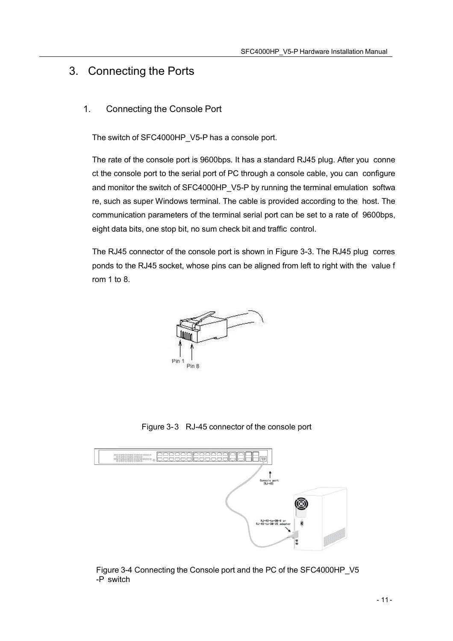## <span id="page-13-0"></span>3. Connecting the Ports

## 1. Connecting the Console Port

The switch of SFC4000HP\_V5-P has a console port.

The rate of the console port is 9600bps. It has a standard RJ45 plug. After you conne ct the console port to the serial port of PC through a console cable, you can configure and monitor the switch of SFC4000HP V5-P by running the terminal emulation softwa re, such as super Windows terminal. The cable is provided according to the host. The communication parameters of the terminal serial port can be set to a rate of 9600bps, eight data bits, one stop bit, no sum check bit and traffic control.

The RJ45 connector of the console port is shown in Figure 3-3. The RJ45 plug corres ponds to the RJ45 socket, whose pins can be aligned from left to right with the value f rom 1 to 8.



Figure 3-3 RJ-45 connector of the console port



Figure 3-4 Connecting the Console port and the PC of the SFC4000HP\_V5 -P switch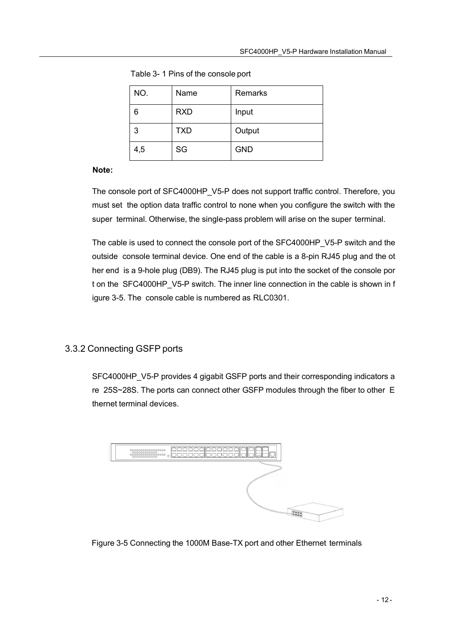| NO. | Name       | Remarks    |
|-----|------------|------------|
| 6   | <b>RXD</b> | Input      |
| 3   | <b>TXD</b> | Output     |
| 4,5 | SG         | <b>GND</b> |

<span id="page-14-0"></span>Table 3- 1 Pins of the console port

#### **Note:**

The console port of SFC4000HP\_V5-P does not support traffic control. Therefore, you must set the option data traffic control to none when you configure the switch with the super terminal. Otherwise, the single-pass problem will arise on the super terminal.

The cable is used to connect the console port of the SFC4000HP\_V5-P switch and the outside console terminal device. One end of the cable is a 8-pin RJ45 plug and the ot her end is a 9-hole plug (DB9). The RJ45 plug is put into the socket of the console por t on the SFC4000HP\_V5-P switch. The inner line connection in the cable is shown in f igure 3-5. The console cable is numbered as RLC0301.

## 3.3.2 Connecting GSFP ports

SFC4000HP\_V5-P provides 4 gigabit GSFP ports and their corresponding indicators a re 25S~28S. The ports can connect other GSFP modules through the fiber to other E thernet terminal devices.



Figure 3-5 Connecting the 1000M Base-TX port and other Ethernet terminals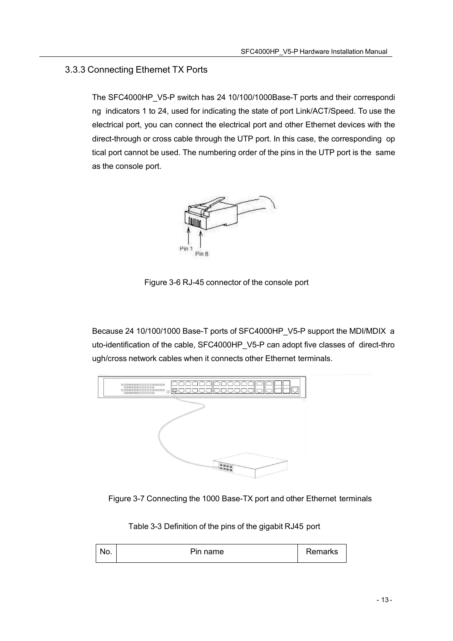## <span id="page-15-0"></span>3.3.3 Connecting Ethernet TX Ports

The SFC4000HP\_V5-P switch has 24 10/100/1000Base-T ports and their correspondi ng indicators 1 to 24, used for indicating the state of port Link/ACT/Speed. To use the electrical port, you can connect the electrical port and other Ethernet devices with the direct-through or cross cable through the UTP port. In this case, the corresponding op tical port cannot be used. The numbering order of the pins in the UTP port is the same as the console port.



Figure 3-6 RJ-45 connector of the console port

Because 24 10/100/1000 Base-T ports of SFC4000HP\_V5-P support the MDI/MDIX a uto-identification of the cable, SFC4000HP\_V5-P can adopt five classes of direct-thro ugh/cross network cables when it connects other Ethernet terminals.





Table 3-3 Definition of the pins of the gigabit RJ45 port

| ۷U. | Pin name | Remarks |
|-----|----------|---------|
|-----|----------|---------|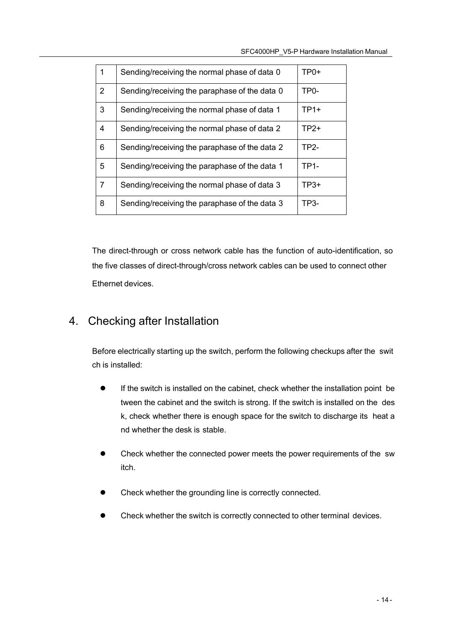<span id="page-16-0"></span>

| 1              | Sending/receiving the normal phase of data 0  | TP0+              |
|----------------|-----------------------------------------------|-------------------|
| $\overline{2}$ | Sending/receiving the paraphase of the data 0 | TP <sub>0</sub> - |
| 3              | Sending/receiving the normal phase of data 1  | $TP1+$            |
| $\overline{4}$ | Sending/receiving the normal phase of data 2  | $TP2+$            |
| 6              | Sending/receiving the paraphase of the data 2 | TP2-              |
| 5              | Sending/receiving the paraphase of the data 1 | <b>TP1-</b>       |
| $\overline{7}$ | Sending/receiving the normal phase of data 3  | $TP3+$            |
| 8              | Sending/receiving the paraphase of the data 3 | TP3-              |
|                |                                               |                   |

The direct-through or cross network cable has the function of auto-identification, so the five classes of direct-through/cross network cables can be used to connect other Ethernet devices.

## 4. Checking after Installation

Before electrically starting up the switch, perform the following checkups after the swit ch is installed:

- If the switch is installed on the cabinet, check whether the installation point be tween the cabinet and the switch is strong. If the switch is installed on the des k, check whether there is enough space for the switch to discharge its heat a nd whether the desk is stable.
- Check whether the connected power meets the power requirements of the sw itch.
- Check whether the grounding line is correctly connected.
- Check whether the switch is correctly connected to other terminal devices.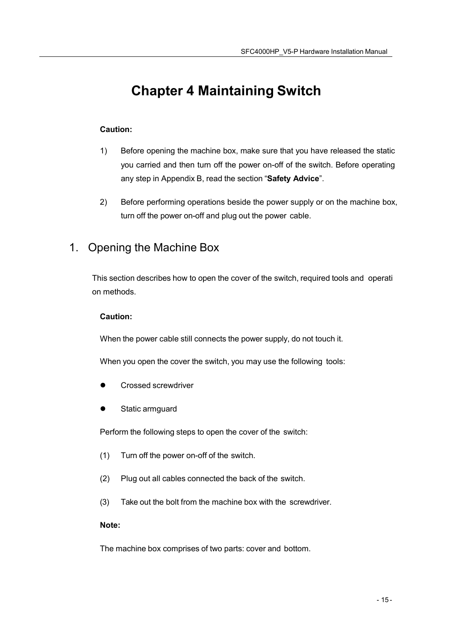# <span id="page-17-0"></span>**Chapter 4 Maintaining Switch**

### **Caution:**

- 1) Before opening the machine box, make sure that you have released the static you carried and then turn off the power on-off of the switch. Before operating any step in Appendix B, read the section "**Safety Advice**".
- 2) Before performing operations beside the power supply or on the machine box, turn off the power on-off and plug out the power cable.

## 1. Opening the Machine Box

This section describes how to open the cover of the switch, required tools and operati on methods.

#### **Caution:**

When the power cable still connects the power supply, do not touch it.

When you open the cover the switch, you may use the following tools:

- Crossed screwdriver
- Static armguard

Perform the following steps to open the cover of the switch:

- (1) Turn off the power on-off of the switch.
- (2) Plug out all cables connected the back of the switch.
- (3) Take out the bolt from the machine box with the screwdriver.

#### **Note:**

The machine box comprises of two parts: cover and bottom.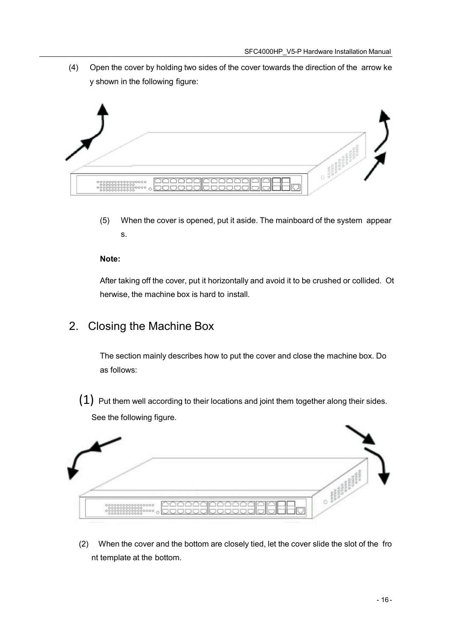<span id="page-18-0"></span>(4) Open the cover by holding two sides of the cover towards the direction of the arrow ke y shown in the following figure:



(5) When the cover is opened, put it aside. The mainboard of the system appear s.

#### **Note:**

After taking off the cover, put it horizontally and avoid it to be crushed or collided. Ot herwise, the machine box is hard to install.

## 2. Closing the Machine Box

The section mainly describes how to put the cover and close the machine box. Do as follows:

 $(1)$  Put them well according to their locations and joint them together along their sides. See the following figure.



(2) When the cover and the bottom are closely tied, let the cover slide the slot of the fro nt template at the bottom.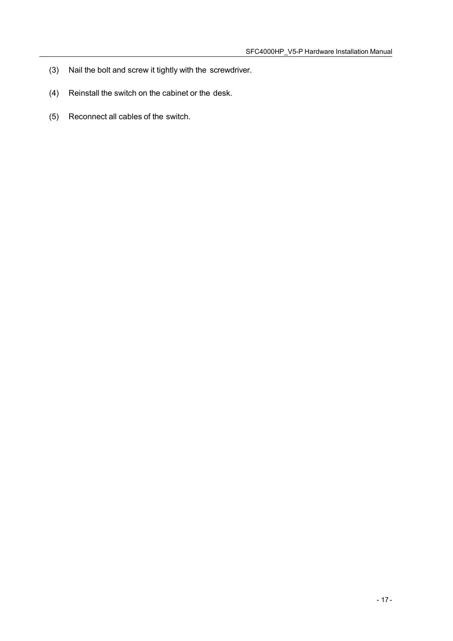- (3) Nail the bolt and screw it tightly with the screwdriver.
- (4) Reinstall the switch on the cabinet or the desk.
- (5) Reconnect all cables of the switch.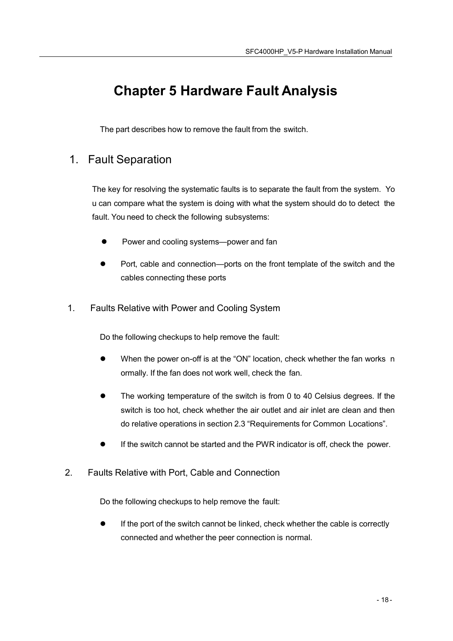# <span id="page-20-0"></span>**Chapter 5 Hardware Fault Analysis**

The part describes how to remove the fault from the switch.

## 1. Fault Separation

The key for resolving the systematic faults is to separate the fault from the system. Yo u can compare what the system is doing with what the system should do to detect the fault. You need to check the following subsystems:

- Power and cooling systems—power and fan
- Port, cable and connection—ports on the front template of the switch and the cables connecting these ports
- 1. Faults Relative with Power and Cooling System

Do the following checkups to help remove the fault:

- When the power on-off is at the "ON" location, check whether the fan works n ormally. If the fan does not work well, check the fan.
- The working temperature of the switch is from 0 to 40 Celsius degrees. If the switch is too hot, check whether the air outlet and air inlet are clean and then do relative operations in section 2.3 "Requirements for Common Locations".
- If the switch cannot be started and the PWR indicator is off, check the power.
- 2. Faults Relative with Port, Cable and Connection

Do the following checkups to help remove the fault:

 If the port of the switch cannot be linked, check whether the cable is correctly connected and whether the peer connection is normal.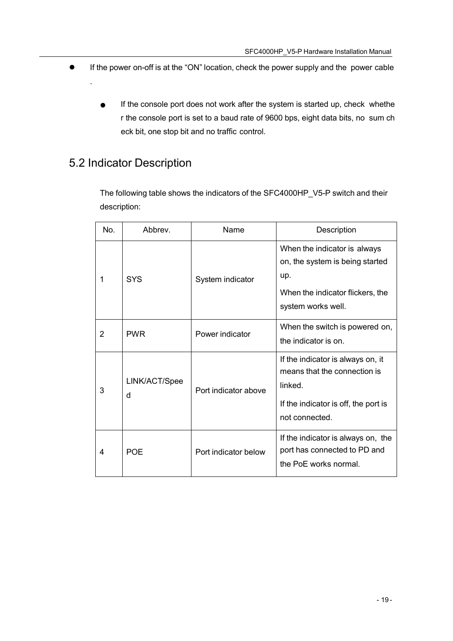- <span id="page-21-0"></span> If the power on-off is at the "ON" location, check the power supply and the power cable
	- **If the console port does not work after the system is started up, check whethe** r the console port is set to a baud rate of 9600 bps, eight data bits, no sum ch eck bit, one stop bit and no traffic control.

## 5.2 Indicator Description

.

The following table shows the indicators of the SFC4000HP\_V5-P switch and their description:

| No. | Abbrey.            | Name                 | Description                                                                                                                            |
|-----|--------------------|----------------------|----------------------------------------------------------------------------------------------------------------------------------------|
| 1   | <b>SYS</b>         | System indicator     | When the indicator is always<br>on, the system is being started<br>up.<br>When the indicator flickers, the<br>system works well.       |
| 2   | <b>PWR</b>         | Power indicator      | When the switch is powered on,<br>the indicator is on.                                                                                 |
| 3   | LINK/ACT/Spee<br>d | Port indicator above | If the indicator is always on, it<br>means that the connection is<br>linked.<br>If the indicator is off, the port is<br>not connected. |
| 4   | <b>POE</b>         | Port indicator below | If the indicator is always on, the<br>port has connected to PD and<br>the PoE works normal.                                            |